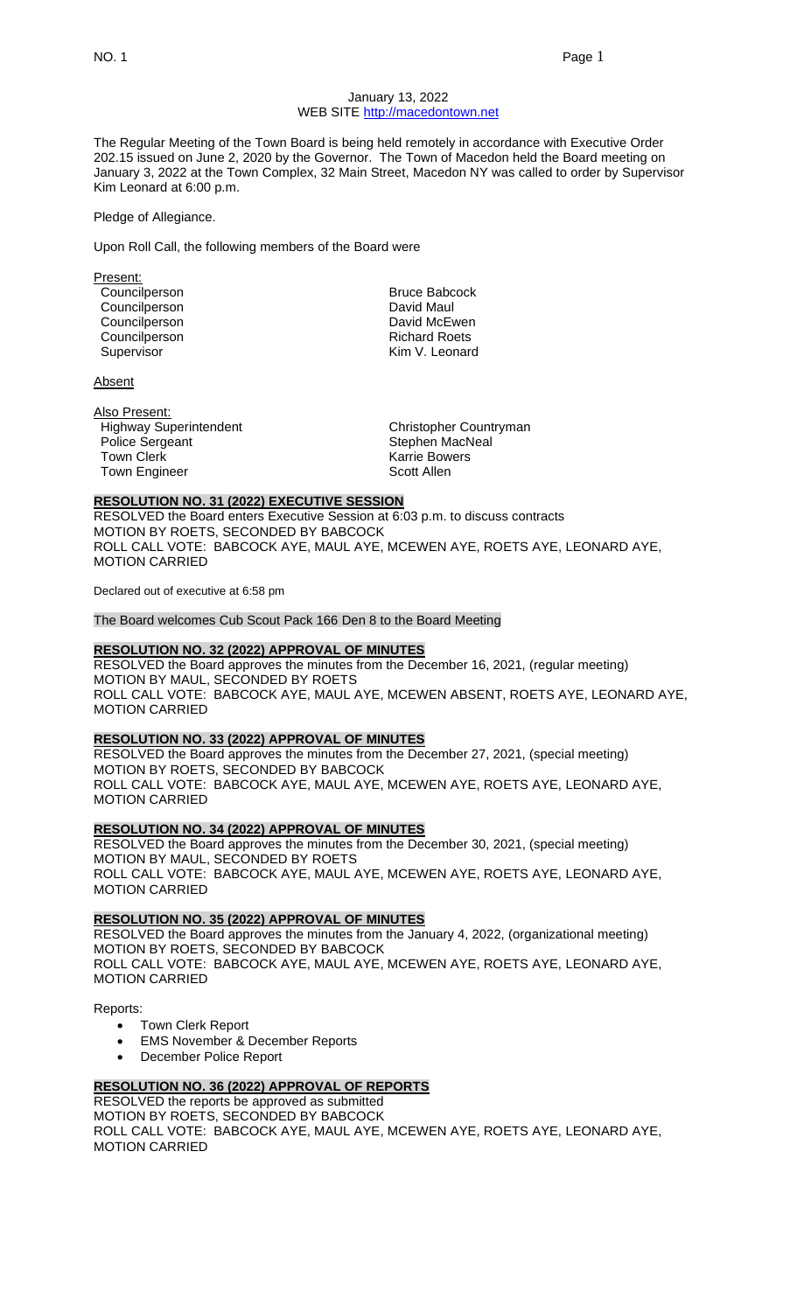#### January 13, 2022 WEB SITE [http://macedontown.net](http://macedontown.net/)

The Regular Meeting of the Town Board is being held remotely in accordance with Executive Order 202.15 issued on June 2, 2020 by the Governor. The Town of Macedon held the Board meeting on January 3, 2022 at the Town Complex, 32 Main Street, Macedon NY was called to order by Supervisor Kim Leonard at 6:00 p.m.

Pledge of Allegiance.

Upon Roll Call, the following members of the Board were

Present: Councilperson Bruce Babcock Councilperson Councilperson **David McEwen** Councilperson **Richard Roets** Richard Roets Supervisor **Kim V. Leonard** 

**Absent** 

Also Present: Highway Superintendent Christopher Countryman Police Sergeant **Stephen MacNeal** Town Clerk **Karrie Bowers Karrie Bowers** Town Engineer Scott Allen

#### **RESOLUTION NO. 31 (2022) EXECUTIVE SESSION**

RESOLVED the Board enters Executive Session at 6:03 p.m. to discuss contracts MOTION BY ROETS, SECONDED BY BABCOCK ROLL CALL VOTE: BABCOCK AYE, MAUL AYE, MCEWEN AYE, ROETS AYE, LEONARD AYE, MOTION CARRIED

Declared out of executive at 6:58 pm

The Board welcomes Cub Scout Pack 166 Den 8 to the Board Meeting

# **RESOLUTION NO. 32 (2022) APPROVAL OF MINUTES**

RESOLVED the Board approves the minutes from the December 16, 2021, (regular meeting) MOTION BY MAUL, SECONDED BY ROETS ROLL CALL VOTE: BABCOCK AYE, MAUL AYE, MCEWEN ABSENT, ROETS AYE, LEONARD AYE, MOTION CARRIED

#### **RESOLUTION NO. 33 (2022) APPROVAL OF MINUTES**

RESOLVED the Board approves the minutes from the December 27, 2021, (special meeting) MOTION BY ROETS, SECONDED BY BABCOCK ROLL CALL VOTE: BABCOCK AYE, MAUL AYE, MCEWEN AYE, ROETS AYE, LEONARD AYE, MOTION CARRIED

#### **RESOLUTION NO. 34 (2022) APPROVAL OF MINUTES**

RESOLVED the Board approves the minutes from the December 30, 2021, (special meeting) MOTION BY MAUL, SECONDED BY ROETS ROLL CALL VOTE: BABCOCK AYE, MAUL AYE, MCEWEN AYE, ROETS AYE, LEONARD AYE, MOTION CARRIED

#### **RESOLUTION NO. 35 (2022) APPROVAL OF MINUTES**

RESOLVED the Board approves the minutes from the January 4, 2022, (organizational meeting) MOTION BY ROETS, SECONDED BY BABCOCK ROLL CALL VOTE: BABCOCK AYE, MAUL AYE, MCEWEN AYE, ROETS AYE, LEONARD AYE, MOTION CARRIED

Reports:

- Town Clerk Report
- **EMS November & December Reports**
- December Police Report

### **RESOLUTION NO. 36 (2022) APPROVAL OF REPORTS**

RESOLVED the reports be approved as submitted MOTION BY ROETS, SECONDED BY BABCOCK ROLL CALL VOTE: BABCOCK AYE, MAUL AYE, MCEWEN AYE, ROETS AYE, LEONARD AYE, MOTION CARRIED